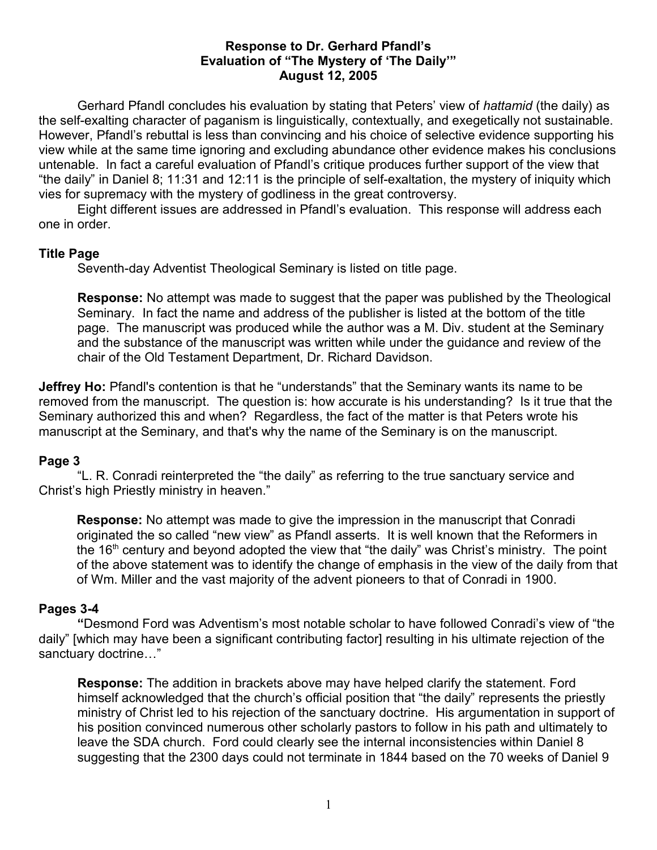## **Response to Dr. Gerhard Pfandl's Evaluation of "The Mystery of 'The Daily'" August 12, 2005**

Gerhard Pfandl concludes his evaluation by stating that Peters' view of *hattamid* (the daily) as the self-exalting character of paganism is linguistically, contextually, and exegetically not sustainable. However, Pfandl's rebuttal is less than convincing and his choice of selective evidence supporting his view while at the same time ignoring and excluding abundance other evidence makes his conclusions untenable. In fact a careful evaluation of Pfandl's critique produces further support of the view that "the daily" in Daniel 8; 11:31 and 12:11 is the principle of self-exaltation, the mystery of iniquity which vies for supremacy with the mystery of godliness in the great controversy.

Eight different issues are addressed in Pfandl's evaluation. This response will address each one in order.

### **Title Page**

Seventh-day Adventist Theological Seminary is listed on title page.

**Response:** No attempt was made to suggest that the paper was published by the Theological Seminary. In fact the name and address of the publisher is listed at the bottom of the title page. The manuscript was produced while the author was a M. Div. student at the Seminary and the substance of the manuscript was written while under the guidance and review of the chair of the Old Testament Department, Dr. Richard Davidson.

**Jeffrey Ho:** Pfandl's contention is that he "understands" that the Seminary wants its name to be removed from the manuscript. The question is: how accurate is his understanding? Is it true that the Seminary authorized this and when? Regardless, the fact of the matter is that Peters wrote his manuscript at the Seminary, and that's why the name of the Seminary is on the manuscript.

## **Page 3**

"L. R. Conradi reinterpreted the "the daily" as referring to the true sanctuary service and Christ's high Priestly ministry in heaven."

**Response:** No attempt was made to give the impression in the manuscript that Conradi originated the so called "new view" as Pfandl asserts. It is well known that the Reformers in the 16<sup>th</sup> century and beyond adopted the view that "the daily" was Christ's ministry. The point of the above statement was to identify the change of emphasis in the view of the daily from that of Wm. Miller and the vast majority of the advent pioneers to that of Conradi in 1900.

#### **Pages 3-4**

**"**Desmond Ford was Adventism's most notable scholar to have followed Conradi's view of "the daily" [which may have been a significant contributing factor] resulting in his ultimate rejection of the sanctuary doctrine…"

**Response:** The addition in brackets above may have helped clarify the statement. Ford himself acknowledged that the church's official position that "the daily" represents the priestly ministry of Christ led to his rejection of the sanctuary doctrine. His argumentation in support of his position convinced numerous other scholarly pastors to follow in his path and ultimately to leave the SDA church. Ford could clearly see the internal inconsistencies within Daniel 8 suggesting that the 2300 days could not terminate in 1844 based on the 70 weeks of Daniel 9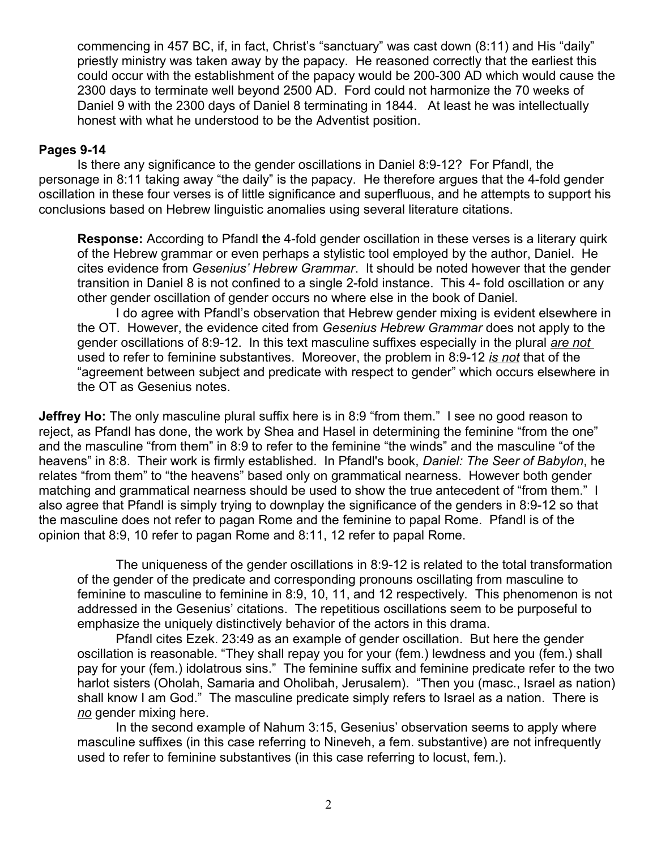commencing in 457 BC, if, in fact, Christ's "sanctuary" was cast down (8:11) and His "daily" priestly ministry was taken away by the papacy. He reasoned correctly that the earliest this could occur with the establishment of the papacy would be 200-300 AD which would cause the 2300 days to terminate well beyond 2500 AD. Ford could not harmonize the 70 weeks of Daniel 9 with the 2300 days of Daniel 8 terminating in 1844. At least he was intellectually honest with what he understood to be the Adventist position.

### **Pages 9-14**

Is there any significance to the gender oscillations in Daniel 8:9-12? For Pfandl, the personage in 8:11 taking away "the daily" is the papacy. He therefore argues that the 4-fold gender oscillation in these four verses is of little significance and superfluous, and he attempts to support his conclusions based on Hebrew linguistic anomalies using several literature citations.

**Response:** According to Pfandl **t**he 4-fold gender oscillation in these verses is a literary quirk of the Hebrew grammar or even perhaps a stylistic tool employed by the author, Daniel. He cites evidence from *Gesenius' Hebrew Grammar*. It should be noted however that the gender transition in Daniel 8 is not confined to a single 2-fold instance. This 4- fold oscillation or any other gender oscillation of gender occurs no where else in the book of Daniel.

I do agree with Pfandl's observation that Hebrew gender mixing is evident elsewhere in the OT. However, the evidence cited from *Gesenius Hebrew Grammar* does not apply to the gender oscillations of 8:9-12. In this text masculine suffixes especially in the plural *are not* used to refer to feminine substantives. Moreover, the problem in 8:9-12 *is not* that of the "agreement between subject and predicate with respect to gender" which occurs elsewhere in the OT as Gesenius notes.

**Jeffrey Ho:** The only masculine plural suffix here is in 8:9 "from them." I see no good reason to reject, as Pfandl has done, the work by Shea and Hasel in determining the feminine "from the one" and the masculine "from them" in 8:9 to refer to the feminine "the winds" and the masculine "of the heavens" in 8:8. Their work is firmly established. In Pfandl's book, *Daniel: The Seer of Babylon*, he relates "from them" to "the heavens" based only on grammatical nearness. However both gender matching and grammatical nearness should be used to show the true antecedent of "from them." I also agree that Pfandl is simply trying to downplay the significance of the genders in 8:9-12 so that the masculine does not refer to pagan Rome and the feminine to papal Rome. Pfandl is of the opinion that 8:9, 10 refer to pagan Rome and 8:11, 12 refer to papal Rome.

The uniqueness of the gender oscillations in 8:9-12 is related to the total transformation of the gender of the predicate and corresponding pronouns oscillating from masculine to feminine to masculine to feminine in 8:9, 10, 11, and 12 respectively. This phenomenon is not addressed in the Gesenius' citations. The repetitious oscillations seem to be purposeful to emphasize the uniquely distinctively behavior of the actors in this drama.

Pfandl cites Ezek. 23:49 as an example of gender oscillation. But here the gender oscillation is reasonable. "They shall repay you for your (fem.) lewdness and you (fem.) shall pay for your (fem.) idolatrous sins." The feminine suffix and feminine predicate refer to the two harlot sisters (Oholah, Samaria and Oholibah, Jerusalem). "Then you (masc., Israel as nation) shall know I am God." The masculine predicate simply refers to Israel as a nation. There is *no* gender mixing here.

In the second example of Nahum 3:15, Gesenius' observation seems to apply where masculine suffixes (in this case referring to Nineveh, a fem. substantive) are not infrequently used to refer to feminine substantives (in this case referring to locust, fem.).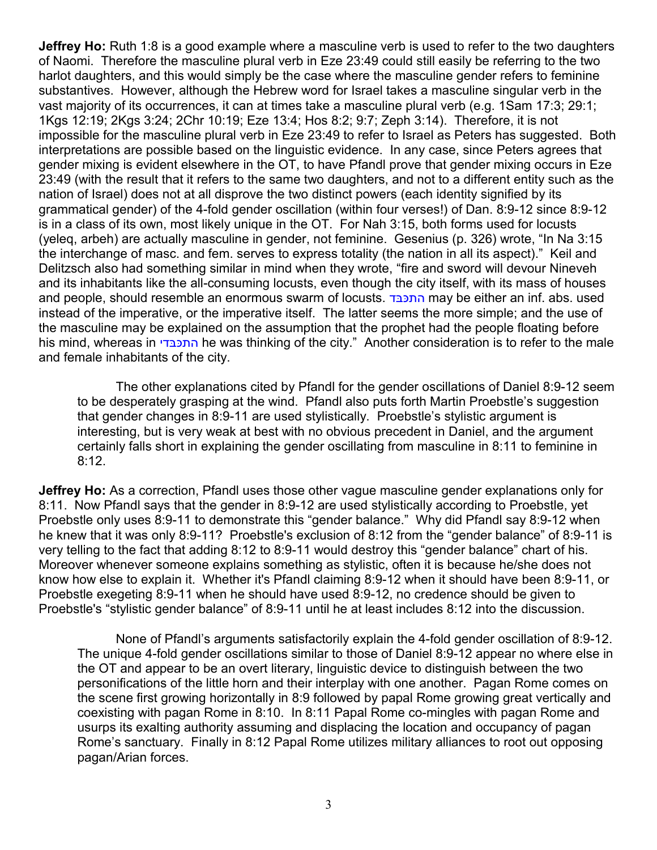**Jeffrey Ho:** Ruth 1:8 is a good example where a masculine verb is used to refer to the two daughters of Naomi. Therefore the masculine plural verb in Eze 23:49 could still easily be referring to the two harlot daughters, and this would simply be the case where the masculine gender refers to feminine substantives. However, although the Hebrew word for Israel takes a masculine singular verb in the vast majority of its occurrences, it can at times take a masculine plural verb (e.g. 1Sam 17:3; 29:1; 1Kgs 12:19; 2Kgs 3:24; 2Chr 10:19; Eze 13:4; Hos 8:2; 9:7; Zeph 3:14). Therefore, it is not impossible for the masculine plural verb in Eze 23:49 to refer to Israel as Peters has suggested. Both interpretations are possible based on the linguistic evidence. In any case, since Peters agrees that gender mixing is evident elsewhere in the OT, to have Pfandl prove that gender mixing occurs in Eze 23:49 (with the result that it refers to the same two daughters, and not to a different entity such as the nation of Israel) does not at all disprove the two distinct powers (each identity signified by its grammatical gender) of the 4-fold gender oscillation (within four verses!) of Dan. 8:9-12 since 8:9-12 is in a class of its own, most likely unique in the OT. For Nah 3:15, both forms used for locusts (yeleq, arbeh) are actually masculine in gender, not feminine. Gesenius (p. 326) wrote, "In Na 3:15 the interchange of masc. and fem. serves to express totality (the nation in all its aspect)." Keil and Delitzsch also had something similar in mind when they wrote, "fire and sword will devour Nineveh and its inhabitants like the all-consuming locusts, even though the city itself, with its mass of houses and people, should resemble an enormous swarm of locusts. התכבד may be either an inf. abs. used instead of the imperative, or the imperative itself. The latter seems the more simple; and the use of the masculine may be explained on the assumption that the prophet had the people floating before his mind, whereas in התכבדי he was thinking of the city." Another consideration is to refer to the male and female inhabitants of the city.

The other explanations cited by Pfandl for the gender oscillations of Daniel 8:9-12 seem to be desperately grasping at the wind. Pfandl also puts forth Martin Proebstle's suggestion that gender changes in 8:9-11 are used stylistically. Proebstle's stylistic argument is interesting, but is very weak at best with no obvious precedent in Daniel, and the argument certainly falls short in explaining the gender oscillating from masculine in 8:11 to feminine in 8:12.

**Jeffrey Ho:** As a correction, Pfandl uses those other vague masculine gender explanations only for 8:11. Now Pfandl says that the gender in 8:9-12 are used stylistically according to Proebstle, yet Proebstle only uses 8:9-11 to demonstrate this "gender balance." Why did Pfandl say 8:9-12 when he knew that it was only 8:9-11? Proebstle's exclusion of 8:12 from the "gender balance" of 8:9-11 is very telling to the fact that adding 8:12 to 8:9-11 would destroy this "gender balance" chart of his. Moreover whenever someone explains something as stylistic, often it is because he/she does not know how else to explain it. Whether it's Pfandl claiming 8:9-12 when it should have been 8:9-11, or Proebstle exegeting 8:9-11 when he should have used 8:9-12, no credence should be given to Proebstle's "stylistic gender balance" of 8:9-11 until he at least includes 8:12 into the discussion.

None of Pfandl's arguments satisfactorily explain the 4-fold gender oscillation of 8:9-12. The unique 4-fold gender oscillations similar to those of Daniel 8:9-12 appear no where else in the OT and appear to be an overt literary, linguistic device to distinguish between the two personifications of the little horn and their interplay with one another. Pagan Rome comes on the scene first growing horizontally in 8:9 followed by papal Rome growing great vertically and coexisting with pagan Rome in 8:10. In 8:11 Papal Rome co-mingles with pagan Rome and usurps its exalting authority assuming and displacing the location and occupancy of pagan Rome's sanctuary. Finally in 8:12 Papal Rome utilizes military alliances to root out opposing pagan/Arian forces.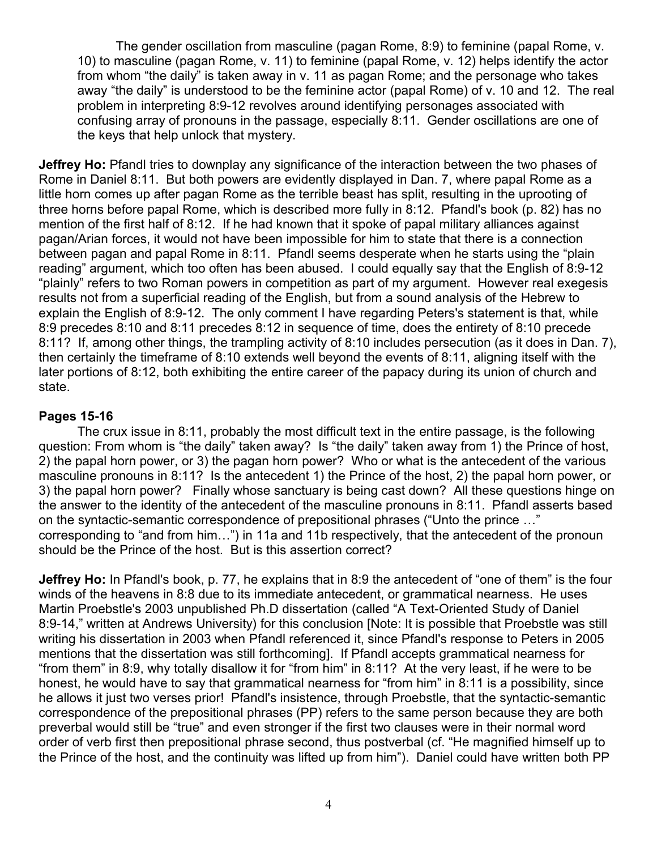The gender oscillation from masculine (pagan Rome, 8:9) to feminine (papal Rome, v. 10) to masculine (pagan Rome, v. 11) to feminine (papal Rome, v. 12) helps identify the actor from whom "the daily" is taken away in v. 11 as pagan Rome; and the personage who takes away "the daily" is understood to be the feminine actor (papal Rome) of v. 10 and 12. The real problem in interpreting 8:9-12 revolves around identifying personages associated with confusing array of pronouns in the passage, especially 8:11. Gender oscillations are one of the keys that help unlock that mystery.

**Jeffrey Ho:** Pfandl tries to downplay any significance of the interaction between the two phases of Rome in Daniel 8:11. But both powers are evidently displayed in Dan. 7, where papal Rome as a little horn comes up after pagan Rome as the terrible beast has split, resulting in the uprooting of three horns before papal Rome, which is described more fully in 8:12. Pfandl's book (p. 82) has no mention of the first half of 8:12. If he had known that it spoke of papal military alliances against pagan/Arian forces, it would not have been impossible for him to state that there is a connection between pagan and papal Rome in 8:11. Pfandl seems desperate when he starts using the "plain reading" argument, which too often has been abused. I could equally say that the English of 8:9-12 "plainly" refers to two Roman powers in competition as part of my argument. However real exegesis results not from a superficial reading of the English, but from a sound analysis of the Hebrew to explain the English of 8:9-12. The only comment I have regarding Peters's statement is that, while 8:9 precedes 8:10 and 8:11 precedes 8:12 in sequence of time, does the entirety of 8:10 precede 8:11? If, among other things, the trampling activity of 8:10 includes persecution (as it does in Dan. 7), then certainly the timeframe of 8:10 extends well beyond the events of 8:11, aligning itself with the later portions of 8:12, both exhibiting the entire career of the papacy during its union of church and state.

## **Pages 15-16**

The crux issue in 8:11, probably the most difficult text in the entire passage, is the following question: From whom is "the daily" taken away? Is "the daily" taken away from 1) the Prince of host, 2) the papal horn power, or 3) the pagan horn power? Who or what is the antecedent of the various masculine pronouns in 8:11? Is the antecedent 1) the Prince of the host, 2) the papal horn power, or 3) the papal horn power? Finally whose sanctuary is being cast down? All these questions hinge on the answer to the identity of the antecedent of the masculine pronouns in 8:11. Pfandl asserts based on the syntactic-semantic correspondence of prepositional phrases ("Unto the prince …" corresponding to "and from him…") in 11a and 11b respectively, that the antecedent of the pronoun should be the Prince of the host. But is this assertion correct?

**Jeffrey Ho:** In Pfandl's book, p. 77, he explains that in 8:9 the antecedent of "one of them" is the four winds of the heavens in 8:8 due to its immediate antecedent, or grammatical nearness. He uses Martin Proebstle's 2003 unpublished Ph.D dissertation (called "A Text-Oriented Study of Daniel 8:9-14," written at Andrews University) for this conclusion [Note: It is possible that Proebstle was still writing his dissertation in 2003 when Pfandl referenced it, since Pfandl's response to Peters in 2005 mentions that the dissertation was still forthcoming]. If Pfandl accepts grammatical nearness for "from them" in 8:9, why totally disallow it for "from him" in 8:11? At the very least, if he were to be honest, he would have to say that grammatical nearness for "from him" in 8:11 is a possibility, since he allows it just two verses prior! Pfandl's insistence, through Proebstle, that the syntactic-semantic correspondence of the prepositional phrases (PP) refers to the same person because they are both preverbal would still be "true" and even stronger if the first two clauses were in their normal word order of verb first then prepositional phrase second, thus postverbal (cf. "He magnified himself up to the Prince of the host, and the continuity was lifted up from him"). Daniel could have written both PP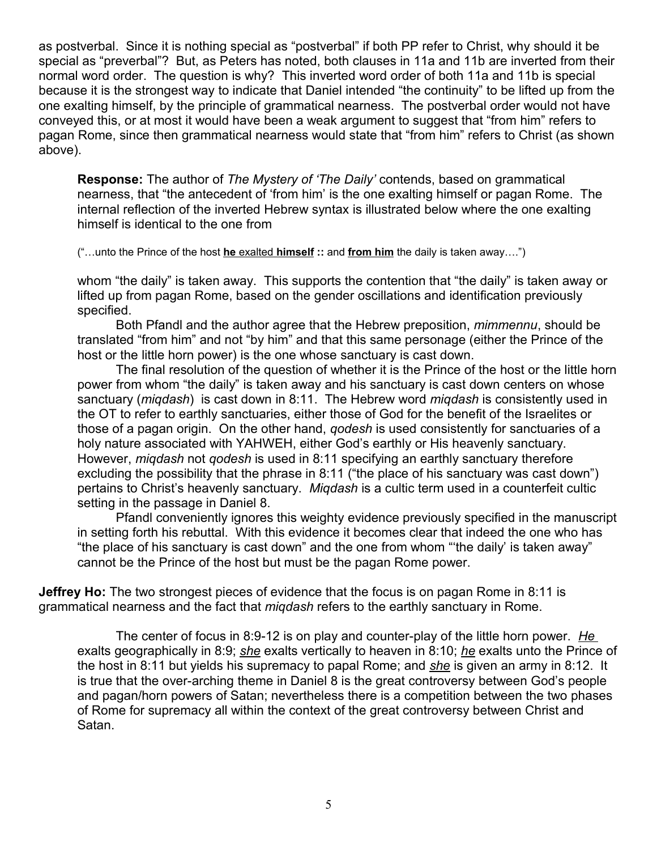as postverbal. Since it is nothing special as "postverbal" if both PP refer to Christ, why should it be special as "preverbal"? But, as Peters has noted, both clauses in 11a and 11b are inverted from their normal word order. The question is why? This inverted word order of both 11a and 11b is special because it is the strongest way to indicate that Daniel intended "the continuity" to be lifted up from the one exalting himself, by the principle of grammatical nearness. The postverbal order would not have conveyed this, or at most it would have been a weak argument to suggest that "from him" refers to pagan Rome, since then grammatical nearness would state that "from him" refers to Christ (as shown above).

**Response:** The author of *The Mystery of 'The Daily'* contends, based on grammatical nearness, that "the antecedent of 'from him' is the one exalting himself or pagan Rome. The internal reflection of the inverted Hebrew syntax is illustrated below where the one exalting himself is identical to the one from

("…unto the Prince of the host **he** exalted **himself ::** and **from him** the daily is taken away….")

whom "the daily" is taken away. This supports the contention that "the daily" is taken away or lifted up from pagan Rome, based on the gender oscillations and identification previously specified.

Both Pfandl and the author agree that the Hebrew preposition, *mimmennu*, should be translated "from him" and not "by him" and that this same personage (either the Prince of the host or the little horn power) is the one whose sanctuary is cast down.

The final resolution of the question of whether it is the Prince of the host or the little horn power from whom "the daily" is taken away and his sanctuary is cast down centers on whose sanctuary (*miqdash*) is cast down in 8:11. The Hebrew word *miqdash* is consistently used in the OT to refer to earthly sanctuaries, either those of God for the benefit of the Israelites or those of a pagan origin. On the other hand, *qodesh* is used consistently for sanctuaries of a holy nature associated with YAHWEH, either God's earthly or His heavenly sanctuary. However, *miqdash* not *qodesh* is used in 8:11 specifying an earthly sanctuary therefore excluding the possibility that the phrase in 8:11 ("the place of his sanctuary was cast down") pertains to Christ's heavenly sanctuary. *Miqdash* is a cultic term used in a counterfeit cultic setting in the passage in Daniel 8.

Pfandl conveniently ignores this weighty evidence previously specified in the manuscript in setting forth his rebuttal. With this evidence it becomes clear that indeed the one who has "the place of his sanctuary is cast down" and the one from whom "'the daily' is taken away" cannot be the Prince of the host but must be the pagan Rome power.

**Jeffrey Ho:** The two strongest pieces of evidence that the focus is on pagan Rome in 8:11 is grammatical nearness and the fact that *miqdash* refers to the earthly sanctuary in Rome.

The center of focus in 8:9-12 is on play and counter-play of the little horn power. *He* exalts geographically in 8:9; *she* exalts vertically to heaven in 8:10; *he* exalts unto the Prince of the host in 8:11 but yields his supremacy to papal Rome; and *she* is given an army in 8:12. It is true that the over-arching theme in Daniel 8 is the great controversy between God's people and pagan/horn powers of Satan; nevertheless there is a competition between the two phases of Rome for supremacy all within the context of the great controversy between Christ and Satan.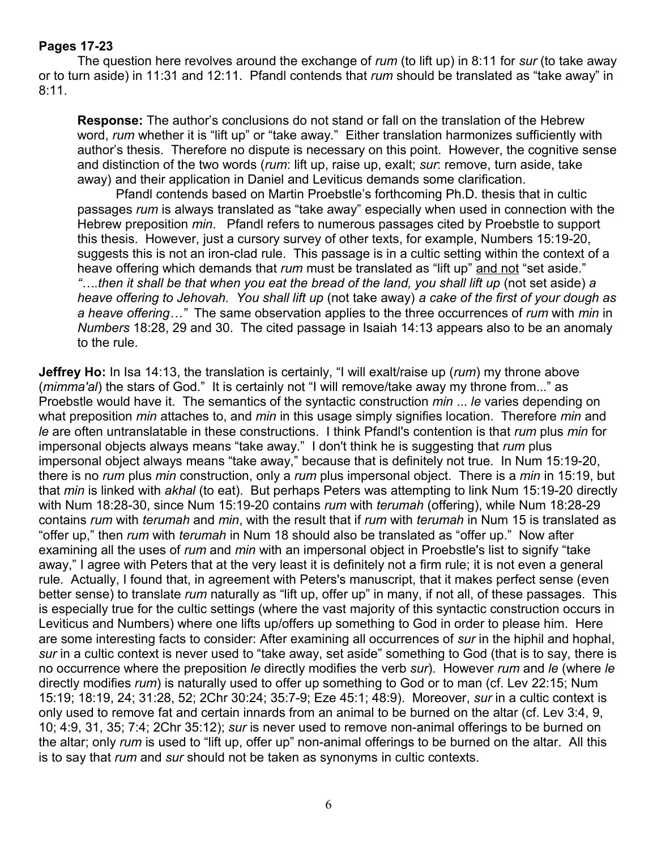# **Pages 17-23**

The question here revolves around the exchange of *rum* (to lift up) in 8:11 for *sur* (to take away or to turn aside) in 11:31 and 12:11. Pfandl contends that *rum* should be translated as "take away" in 8:11.

**Response:** The author's conclusions do not stand or fall on the translation of the Hebrew word, *rum* whether it is "lift up" or "take away."Either translation harmonizes sufficiently with author's thesis. Therefore no dispute is necessary on this point. However, the cognitive sense and distinction of the two words (*rum*: lift up, raise up, exalt; *sur*: remove, turn aside, take away) and their application in Daniel and Leviticus demands some clarification.

Pfandl contends based on Martin Proebstle's forthcoming Ph.D. thesis that in cultic passages *rum* is always translated as "take away" especially when used in connection with the Hebrew preposition *min*. Pfandl refers to numerous passages cited by Proebstle to support this thesis. However, just a cursory survey of other texts, for example, Numbers 15:19-20, suggests this is not an iron-clad rule. This passage is in a cultic setting within the context of a heave offering which demands that *rum* must be translated as "lift up" and not "set aside." *"….then it shall be that when you eat the bread of the land, you shall lift up* (not set aside) *a heave offering to Jehovah. You shall lift up* (not take away) *a cake of the first of your dough as a heave offering…"* The same observation applies to the three occurrences of *rum* with *min* in *Numbers* 18:28, 29 and 30. The cited passage in Isaiah 14:13 appears also to be an anomaly to the rule.

**Jeffrey Ho:** In Isa 14:13, the translation is certainly, "I will exalt/raise up (*rum*) my throne above (*mimma'al*) the stars of God." It is certainly not "I will remove/take away my throne from..." as Proebstle would have it. The semantics of the syntactic construction *min* ... *le* varies depending on what preposition *min* attaches to, and *min* in this usage simply signifies location. Therefore *min* and *le* are often untranslatable in these constructions. I think Pfandl's contention is that *rum* plus *min* for impersonal objects always means "take away." I don't think he is suggesting that *rum* plus impersonal object always means "take away," because that is definitely not true. In Num 15:19-20, there is no *rum* plus *min* construction, only a *rum* plus impersonal object. There is a *min* in 15:19, but that *min* is linked with *akhal* (to eat). But perhaps Peters was attempting to link Num 15:19-20 directly with Num 18:28-30, since Num 15:19-20 contains *rum* with *terumah* (offering), while Num 18:28-29 contains *rum* with *terumah* and *min*, with the result that if *rum* with *terumah* in Num 15 is translated as "offer up," then *rum* with *terumah* in Num 18 should also be translated as "offer up." Now after examining all the uses of *rum* and *min* with an impersonal object in Proebstle's list to signify "take away," I agree with Peters that at the very least it is definitely not a firm rule; it is not even a general rule. Actually, I found that, in agreement with Peters's manuscript, that it makes perfect sense (even better sense) to translate *rum* naturally as "lift up, offer up" in many, if not all, of these passages. This is especially true for the cultic settings (where the vast majority of this syntactic construction occurs in Leviticus and Numbers) where one lifts up/offers up something to God in order to please him. Here are some interesting facts to consider: After examining all occurrences of *sur* in the hiphil and hophal, *sur* in a cultic context is never used to "take away, set aside" something to God (that is to say, there is no occurrence where the preposition *le* directly modifies the verb *sur*). However *rum* and *le* (where *le* directly modifies *rum*) is naturally used to offer up something to God or to man (cf. Lev 22:15; Num 15:19; 18:19, 24; 31:28, 52; 2Chr 30:24; 35:7-9; Eze 45:1; 48:9). Moreover, *sur* in a cultic context is only used to remove fat and certain innards from an animal to be burned on the altar (cf. Lev 3:4, 9, 10; 4:9, 31, 35; 7:4; 2Chr 35:12); *sur* is never used to remove non-animal offerings to be burned on the altar; only *rum* is used to "lift up, offer up" non-animal offerings to be burned on the altar. All this is to say that *rum* and *sur* should not be taken as synonyms in cultic contexts.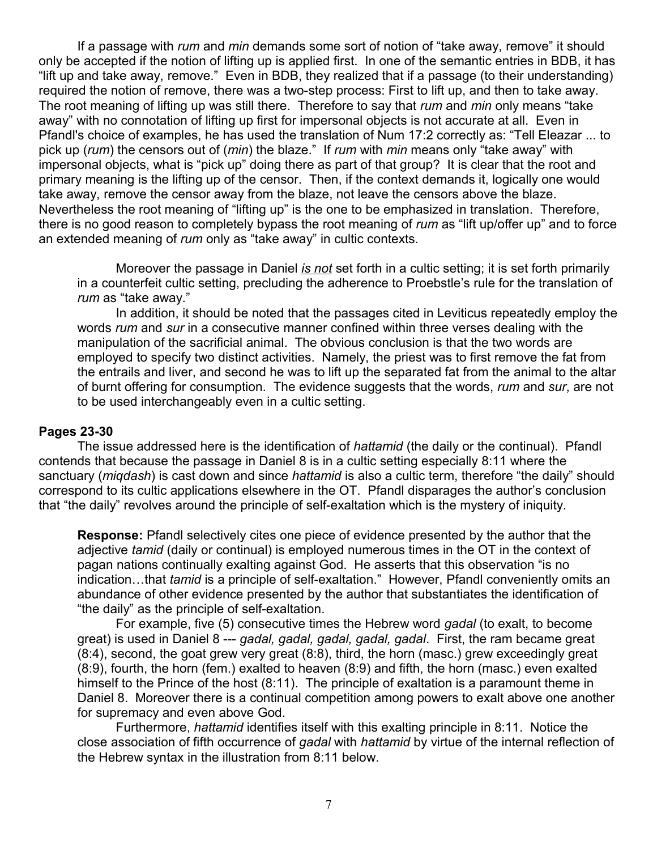If a passage with *rum* and *min* demands some sort of notion of "take away, remove" it should only be accepted if the notion of lifting up is applied first. In one of the semantic entries in BDB, it has "lift up and take away, remove." Even in BDB, they realized that if a passage (to their understanding) required the notion of remove, there was a two-step process: First to lift up, and then to take away. The root meaning of lifting up was still there. Therefore to say that *rum* and *min* only means "take away" with no connotation of lifting up first for impersonal objects is not accurate at all. Even in Pfandl's choice of examples, he has used the translation of Num 17:2 correctly as: "Tell Eleazar ... to pick up (*rum*) the censors out of (*min*) the blaze." If *rum* with *min* means only "take away" with impersonal objects, what is "pick up" doing there as part of that group? It is clear that the root and primary meaning is the lifting up of the censor. Then, if the context demands it, logically one would take away, remove the censor away from the blaze, not leave the censors above the blaze. Nevertheless the root meaning of "lifting up" is the one to be emphasized in translation. Therefore, there is no good reason to completely bypass the root meaning of *rum* as "lift up/offer up" and to force an extended meaning of *rum* only as "take away" in cultic contexts.

Moreover the passage in Daniel *is not* set forth in a cultic setting; it is set forth primarily in a counterfeit cultic setting, precluding the adherence to Proebstle's rule for the translation of *rum* as "take away."

In addition, it should be noted that the passages cited in Leviticus repeatedly employ the words *rum* and *sur* in a consecutive manner confined within three verses dealing with the manipulation of the sacrificial animal. The obvious conclusion is that the two words are employed to specify two distinct activities. Namely, the priest was to first remove the fat from the entrails and liver, and second he was to lift up the separated fat from the animal to the altar of burnt offering for consumption. The evidence suggests that the words, *rum* and *sur*, are not to be used interchangeably even in a cultic setting.

## **Pages 23-30**

The issue addressed here is the identification of *hattamid* (the daily or the continual). Pfandl contends that because the passage in Daniel 8 is in a cultic setting especially 8:11 where the sanctuary (*miqdash*) is cast down and since *hattamid* is also a cultic term, therefore "the daily" should correspond to its cultic applications elsewhere in the OT. Pfandl disparages the author's conclusion that "the daily" revolves around the principle of self-exaltation which is the mystery of iniquity.

**Response:** Pfandl selectively cites one piece of evidence presented by the author that the adjective *tamid* (daily or continual) is employed numerous times in the OT in the context of pagan nations continually exalting against God. He asserts that this observation "is no indication…that *tamid* is a principle of self-exaltation." However, Pfandl conveniently omits an abundance of other evidence presented by the author that substantiates the identification of "the daily" as the principle of self-exaltation.

For example, five (5) consecutive times the Hebrew word *gadal* (to exalt, to become great) is used in Daniel 8 --- *gadal, gadal, gadal, gadal, gadal*. First, the ram became great (8:4), second, the goat grew very great (8:8), third, the horn (masc.) grew exceedingly great (8:9), fourth, the horn (fem.) exalted to heaven (8:9) and fifth, the horn (masc.) even exalted himself to the Prince of the host (8:11). The principle of exaltation is a paramount theme in Daniel 8. Moreover there is a continual competition among powers to exalt above one another for supremacy and even above God.

Furthermore, *hattamid* identifies itself with this exalting principle in 8:11. Notice the close association of fifth occurrence of *gadal* with *hattamid* by virtue of the internal reflection of the Hebrew syntax in the illustration from 8:11 below.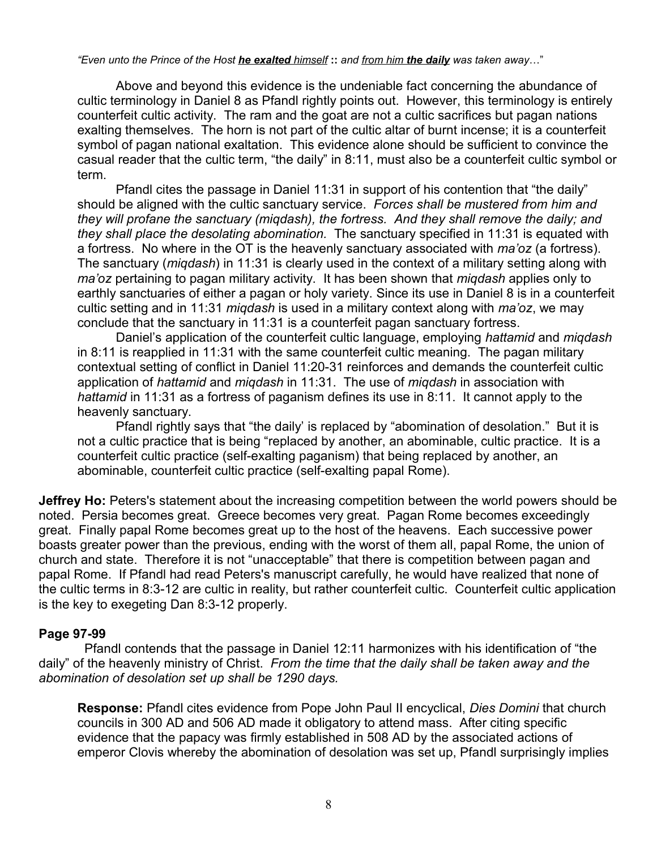*"Even unto the Prince of the Host he exalted himself* **::** *and from him the daily was taken away*…"

Above and beyond this evidence is the undeniable fact concerning the abundance of cultic terminology in Daniel 8 as Pfandl rightly points out. However, this terminology is entirely counterfeit cultic activity. The ram and the goat are not a cultic sacrifices but pagan nations exalting themselves. The horn is not part of the cultic altar of burnt incense; it is a counterfeit symbol of pagan national exaltation. This evidence alone should be sufficient to convince the casual reader that the cultic term, "the daily" in 8:11, must also be a counterfeit cultic symbol or term.

Pfandl cites the passage in Daniel 11:31 in support of his contention that "the daily" should be aligned with the cultic sanctuary service. *Forces shall be mustered from him and they will profane the sanctuary (miqdash), the fortress. And they shall remove the daily; and they shall place the desolating abomination.* The sanctuary specified in 11:31 is equated with a fortress. No where in the OT is the heavenly sanctuary associated with *ma'oz* (a fortress). The sanctuary (*miqdash*) in 11:31 is clearly used in the context of a military setting along with *ma'oz* pertaining to pagan military activity. It has been shown that *miqdash* applies only to earthly sanctuaries of either a pagan or holy variety. Since its use in Daniel 8 is in a counterfeit cultic setting and in 11:31 *miqdash* is used in a military context along with *ma'oz*, we may conclude that the sanctuary in 11:31 is a counterfeit pagan sanctuary fortress.

Daniel's application of the counterfeit cultic language, employing *hattamid* and *miqdash* in 8:11 is reapplied in 11:31 with the same counterfeit cultic meaning. The pagan military contextual setting of conflict in Daniel 11:20-31 reinforces and demands the counterfeit cultic application of *hattamid* and *miqdash* in 11:31. The use of *miqdash* in association with *hattamid* in 11:31 as a fortress of paganism defines its use in 8:11. It cannot apply to the heavenly sanctuary.

Pfandl rightly says that "the daily' is replaced by "abomination of desolation." But it is not a cultic practice that is being "replaced by another, an abominable, cultic practice. It is a counterfeit cultic practice (self-exalting paganism) that being replaced by another, an abominable, counterfeit cultic practice (self-exalting papal Rome).

**Jeffrey Ho:** Peters's statement about the increasing competition between the world powers should be noted. Persia becomes great. Greece becomes very great. Pagan Rome becomes exceedingly great. Finally papal Rome becomes great up to the host of the heavens. Each successive power boasts greater power than the previous, ending with the worst of them all, papal Rome, the union of church and state. Therefore it is not "unacceptable" that there is competition between pagan and papal Rome. If Pfandl had read Peters's manuscript carefully, he would have realized that none of the cultic terms in 8:3-12 are cultic in reality, but rather counterfeit cultic. Counterfeit cultic application is the key to exegeting Dan 8:3-12 properly.

## **Page 97-99**

 Pfandl contends that the passage in Daniel 12:11 harmonizes with his identification of "the daily" of the heavenly ministry of Christ. *From the time that the daily shall be taken away and the abomination of desolation set up shall be 1290 days.*

**Response:** Pfandl cites evidence from Pope John Paul II encyclical, *Dies Domini* that church councils in 300 AD and 506 AD made it obligatory to attend mass. After citing specific evidence that the papacy was firmly established in 508 AD by the associated actions of emperor Clovis whereby the abomination of desolation was set up, Pfandl surprisingly implies